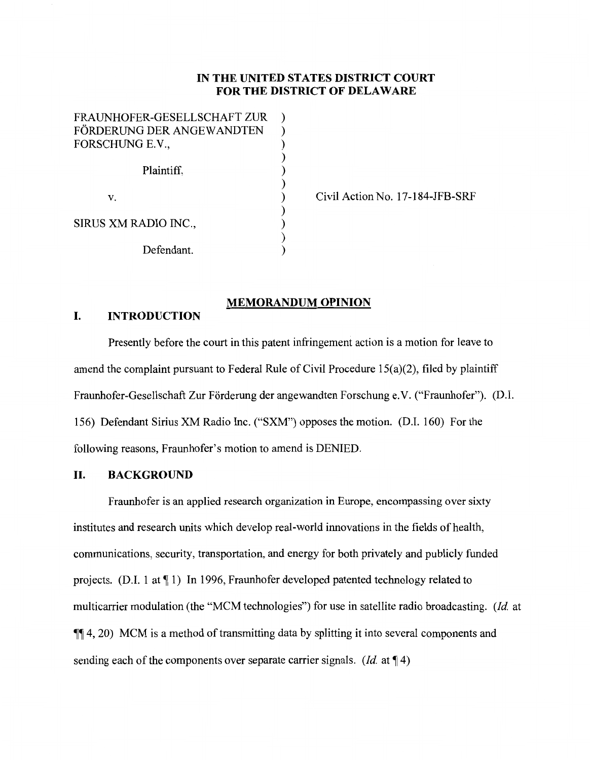# **IN THE UNITED STATES DISTRICT COURT FOR THE DISTRICT OF DELAWARE**

| FRAUNHOFER-GESELLSCHAFT ZUR |  |
|-----------------------------|--|
| FÖRDERUNG DER ANGEWANDTEN   |  |
| FORSCHUNG E.V.,             |  |
|                             |  |
| Plaintiff,                  |  |
|                             |  |
| V.                          |  |
|                             |  |
| SIRUS XM RADIO INC.,        |  |
|                             |  |
| Defendant.                  |  |

Civil Action No. 17-184-JFB-SRF

## **MEMORANDUM OPINION**

# **I. INTRODUCTION**

Presently before the court in this patent infringement action is a motion for leave to amend the complaint pursuant to Federal Rule of Civil Procedure 15(a)(2), filed by plaintiff Fraunhofer-Gesellschaft Zur Förderung der angewandten Forschung e.V. ("Fraunhofer"). (D.I. 156) Defendant Sirius XM Radio Inc. ("SXM") opposes the motion. (D.I. 160) For the following reasons, Fraunhofer's motion to amend is DENIED.

## **II. BACKGROUND**

Fraunhofer is an applied research organization in Europe, encompassing over sixty institutes and research units which develop real-world innovations in the fields of health, communications, security, transportation, and energy for both privately and publicly funded projects. (D.I. 1 at  $\P$  1) In 1996, Fraunhofer developed patented technology related to multicarrier modulation (the "MCM technologies") for use in satellite radio broadcasting. *(Id.* at  $\P\P$  4, 20) MCM is a method of transmitting data by splitting it into several components and sending each of the components over separate carrier signals. *(Id.* at  $\P$  4)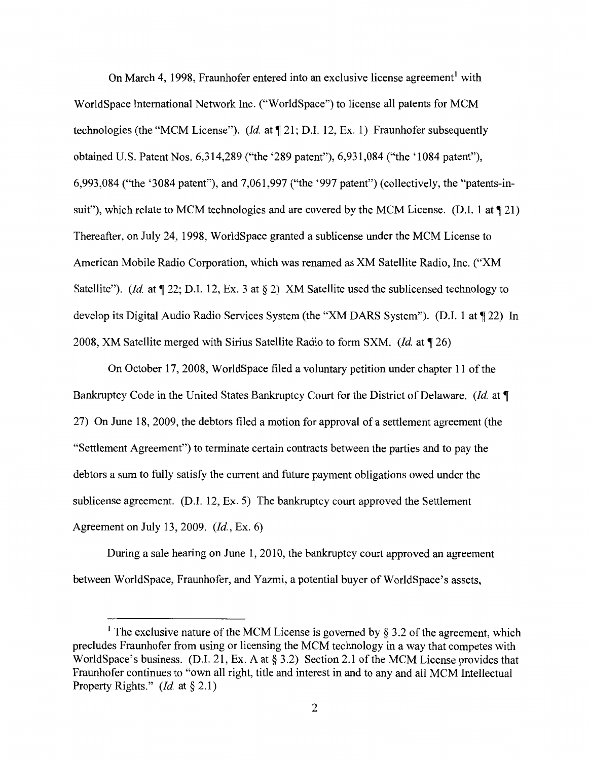On March 4, 1998, Fraunhofer entered into an exclusive license agreement<sup>1</sup> with WorldSpace International Network Inc. ("WorldSpace") to license all patents for MCM technologies (the "MCM License"). *(Id.* at  $\P$  21; D.I. 12, Ex. 1) Fraunhofer subsequently obtained U.S. Patent Nos. 6,314,289 ("the '289 patent"), 6,931,084 ("the '1084 patent"), 6,993,084 ("the '3084 patent"), and 7,061,997 ("the '997 patent") (collectively, the "patents-insuit"), which relate to MCM technologies and are covered by the MCM License. (D.I. 1 at  $\P$  21) Thereafter, on July 24, 1998, WorldSpace granted a sublicense under the MCM License to American Mobile Radio Corporation, which was renamed as XM Satellite Radio, Inc. ("XM Satellite"). *(Id.* at  $\P$  22; D.I. 12, Ex. 3 at  $\S$  2) XM Satellite used the sublicensed technology to develop its Digital Audio Radio Services System (the "XM DARS System"). (D.I. 1 at  $\P$  22) In 2008, XM Satellite merged with Sirius Satellite Radio to form SXM. *(Id* at **,r** 26)

On October 17, 2008, WorldSpace filed a voluntary petition under chapter 11 of the Bankruptcy Code in the United States Bankruptcy Court for the District of Delaware. *(Id.* at  $\P$ ) 27) On June 18, 2009, the debtors filed a motion for approval of a settlement agreement (the "Settlement Agreement") to terminate certain contracts between the parties and to pay the debtors a sum to fully satisfy the current and future payment obligations owed under the sublicense agreement. (D.I. 12, Ex. 5) The bankruptcy court approved the Settlement Agreement on July 13, 2009. *(Id,* Ex. 6)

During a sale hearing on June 1, 2010, the bankruptcy court approved an agreement between WorldSpace, Fraunhofer, and Yazmi, a potential buyer of WorldSpace's assets,

<sup>&</sup>lt;sup>1</sup> The exclusive nature of the MCM License is governed by § 3.2 of the agreement, which precludes Fraunhofer from using or licensing the MCM technology in a way that competes with WorldSpace's business. (D.I. 21, Ex. A at § 3.2) Section 2.1 of the MCM License provides that Fraunhofer continues to "own all right, title and interest in and to any and all MCM Intellectual Property Rights." *(Id.* at § 2.1)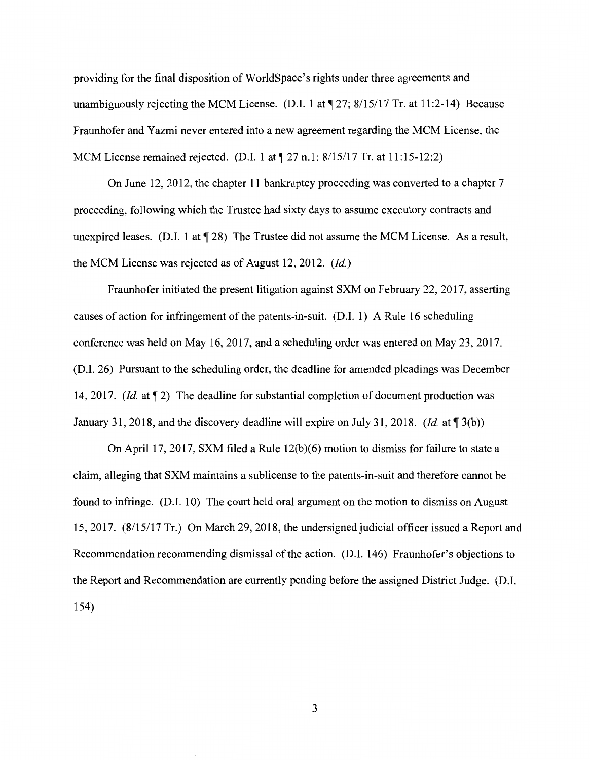providing for the final disposition of WorldSpace's rights under three agreements and unambiguously rejecting the MCM License. (D.I. 1 at  $\P$ 27; 8/15/17 Tr. at 11:2-14) Because Fraunhofer and Yazmi never entered into a new agreement regarding the MCM License, the MCM License remained rejected. (D.I. 1 at  $\sqrt{27}$  n.1; 8/15/17 Tr. at 11:15-12:2)

On June 12, 2012, the chapter 11 bankruptcy proceeding was converted to a chapter 7 proceeding, following which the Trustee had sixty days to assume executory contracts and unexpired leases. (D.I. 1 at  $\P$  28) The Trustee did not assume the MCM License. As a result, the MCM License was rejected as of August 12, 2012. *(Id)* 

Fraunhofer initiated the present litigation against SXM on February 22, 2017, asserting causes of action for infringement of the patents-in-suit. (D.I. 1) A Rule 16 scheduling conference was held on May 16, 2017, and a scheduling order was entered on May 23, 2017. (D.I. 26) Pursuant to the scheduling order, the deadline for amended pleadings was December 14, 2017. *(Id.* at  $\P$  2) The deadline for substantial completion of document production was January 31, 2018, and the discovery deadline will expire on July 31, 2018. *(Id.* at  $\P$ 3(b))

On April 17, 2017, SXM filed a Rule  $12(b)(6)$  motion to dismiss for failure to state a claim, alleging that SXM maintains a sublicense to the patents-in-suit and therefore cannot be found to infringe. (D.I. 10) The court held oral argument on the motion to dismiss on August 15, 2017. (8/15/17 Tr.) On March 29, 2018, the undersigned judicial officer issued a Report and Recommendation recommending dismissal of the action. (D.I. 146) Fraunhofer's objections to the Report and Recommendation are currently pending before the assigned District Judge. (D.I. 154)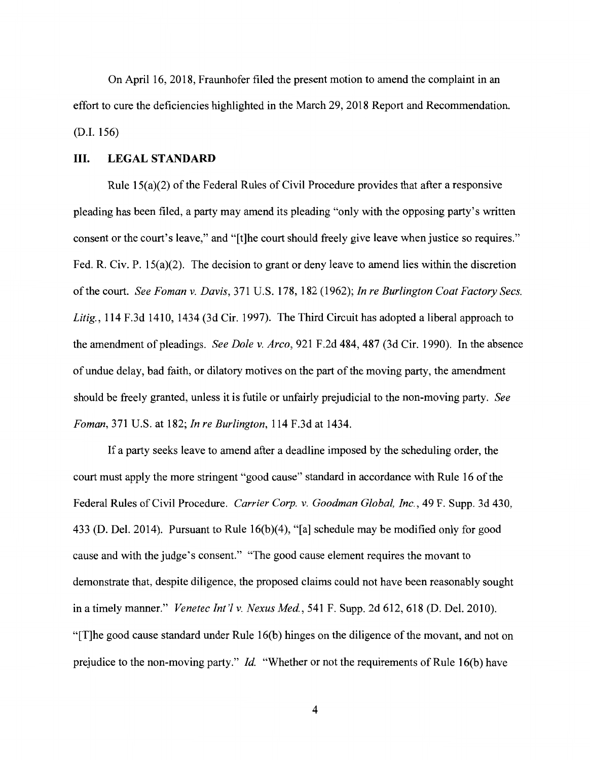On April 16, 2018, Fraunhofer filed the present motion to amend the complaint in an effort to cure the deficiencies highlighted in the March 29, 2018 Report and Recommendation. (D.I. 156)

### III. **LEGAL STANDARD**

Rule 15(a)(2) of the Federal Rules of Civil Procedure provides that after a responsive pleading has been filed, a party may amend its pleading "only with the opposing party's written consent or the court's leave," and "[t]he court should freely give leave when justice so requires." Fed. R. Civ. P. 15(a)(2). The decision to grant or deny leave to amend lies within the discretion of the court. *See Foman v. Davis,* 371 U.S. 178, 182 (1962); *In re Burlington Coat Factory Secs. Litig.,* 114 F.3d 1410, 1434 (3d Cir. 1997). The Third Circuit has adopted a liberal approach to the amendment of pleadings. *See Dole v. Arco,* 921 F.2d 484,487 (3d Cir. 1990). In the absence of undue delay, bad faith, or dilatory motives on the part of the moving party, the amendment should be freely granted, unless it is futile or unfairly prejudicial to the non-moving party. *See Foman,* 371 U.S. at 182; *In re Burlington,* 114 F.3d at 1434.

If a party seeks leave to amend after a deadline imposed by the scheduling order, the court must apply the more stringent "good cause" standard in accordance with Rule 16 of the Federal Rules of Civil Procedure. *Carrier Corp. v. Goodman Global, Inc.,* 49 F. Supp. 3d 430, 433 (D. Del. 2014). Pursuant to Rule 16(b)(4), "[a] schedule may be modified only for good cause and with the judge's consent." "The good cause element requires the movant to demonstrate that, despite diligence, the proposed claims could not have been reasonably sought in a timely manner." *Venetec Int'l v. Nexus Med.*, 541 F. Supp. 2d 612, 618 (D. Del. 2010). "[T]he good cause standard under Rule 16(b) hinges on the diligence of the movant, and not on prejudice to the non-moving party." *Id.* "Whether or not the requirements of Rule 16(b) have

4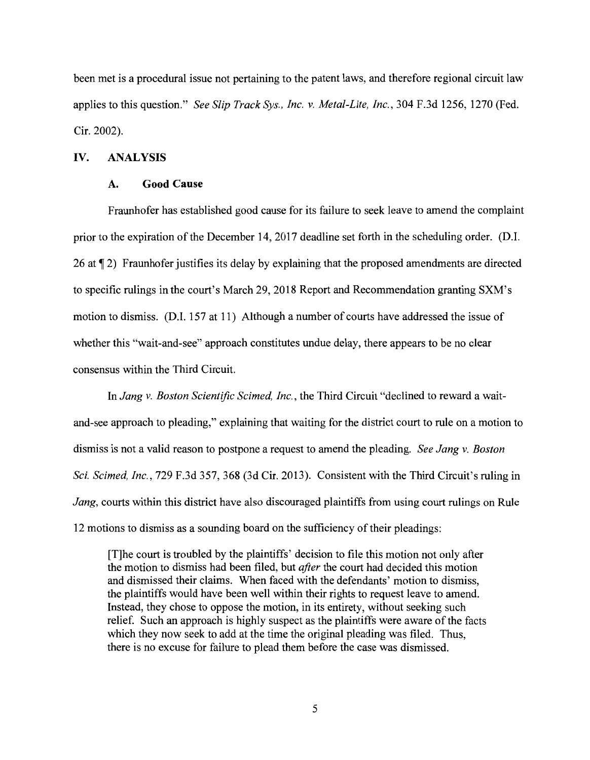been met is a procedural issue not pertaining to the patent laws, and therefore regional circuit law applies to this question." *See Slip Track Sys., Inc. v. Metal-Lite, Inc.,* 304 F.3d 1256, 1270 (Fed. Cir. 2002).

### **IV. ANALYSIS**

#### **A. Good Cause**

Fraunhofer has established good cause for its failure to seek leave to amend the complaint prior to the expiration of the December 14, 2017 deadline set forth in the scheduling order. (D.I. 26 at  $\P$  2) Fraunhofer justifies its delay by explaining that the proposed amendments are directed to specific rulings in the court's March 29, 2018 Report and Recommendation granting SXM's motion to dismiss. (D.I. 157 at 11) Although a number of courts have addressed the issue of whether this "wait-and-see" approach constitutes undue delay, there appears to be no clear consensus within the Third Circuit.

In *Jang v. Boston Scientific Scimed, Inc.,* the Third Circuit "declined to reward a waitand-see approach to pleading," explaining that waiting for the district court to rule on a motion to dismiss is not a valid reason to postpone a request to amend the pleading. *See Jang v. Boston Sci. Scimed, Inc.,* 729 F.3d 357, 368 (3d Cir. 2013). Consistent with the Third Circuit's ruling in *Jang,* courts within this district have also discouraged plaintiffs from using court rulings on Rule 12 motions to dismiss as a sounding board on the sufficiency of their pleadings:

[T]he court is troubled by the plaintiffs' decision to file this motion not only after the motion to dismiss had been filed, but *after* the court had decided this motion and dismissed their claims. When faced with the defendants' motion to dismiss, the plaintiffs would have been well within their rights to request leave to amend. Instead, they chose to oppose the motion, in its entirety, without seeking such relief. Such an approach is highly suspect as the plaintiffs were aware of the facts which they now seek to add at the time the original pleading was filed. Thus, there is no excuse for failure to plead them before the case was dismissed.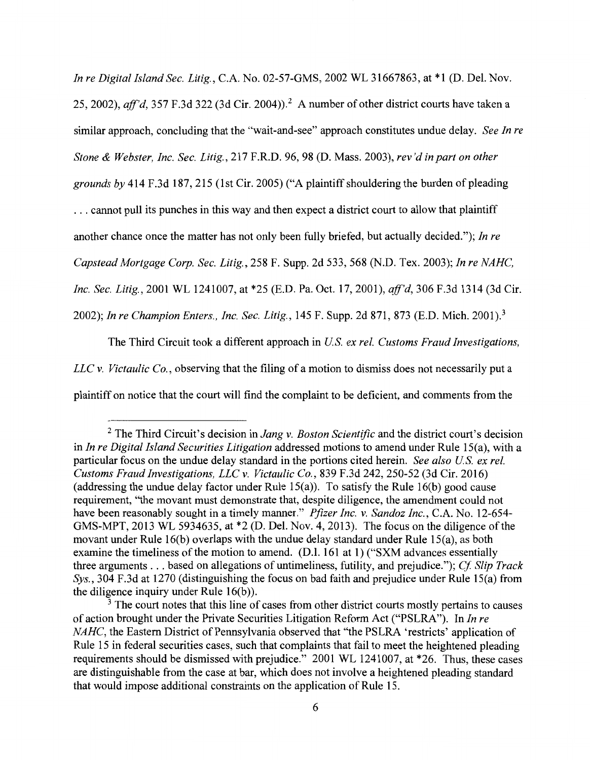*In re Digital Island Sec. Litig.,* C.A. No. 02-57-GMS, 2002 WL 31667863, at \*1 (D. Del. Nov. 25, 2002), *aff'd*, 357 F.3d 322 (3d Cir. 2004)).<sup>2</sup> A number of other district courts have taken a similar approach, concluding that the "wait-and-see" approach constitutes undue delay. *See In re Stone & Webster, Inc. Sec. Litig.,* 217 F.R.D. 96, 98 (D. Mass. 2003), *rev'd in part on other grounds by* 414 F.3d 187,215 (1st Cir. 2005) ("A plaintiff shouldering the burden of pleading ... cannot pull its punches in this way and then expect a district court to allow that plaintiff another chance once the matter has not only been fully briefed, but actually decided."); *In re Capstead Mortgage Corp. Sec. Litig.,* 258 F. Supp. 2d 533,568 (N.D. Tex. 2003); *In re NAHC, Inc. Sec. Litig.,* 2001 WL 1241007, at \*25 (E.D. Pa. Oct. 17, 2001), *aff'd,* 306 F.3d 1314 (3d Cir. 2002); *In re Champion Enters., Inc. Sec. Litig.,* 145 F. Supp. 2d 871, 873 (E.D. Mich. 2001).<sup>3</sup>

The Third Circuit took a different approach in *US ex rel. Customs Fraud Investigations, LLC v. Victaulic Co.,* observing that the filing of a motion to dismiss does not necessarily put a plaintiff on notice that the court will find the complaint to be deficient, and comments from the

<sup>2</sup>The Third Circuit's decision in *Jang v. Boston Scientific* and the district court's decision in *In re Digital Island Securities Litigation* addressed motions to amend under Rule 15(a), with a particular focus on the undue delay standard in the portions cited herein. *See also U.S. ex rel. Customs Fraud Investigations, LLC v. Victaulic Co.,* 839 F.3d 242, 250-52 (3d Cir. 2016) (addressing the undue delay factor under Rule 15(a)). To satisfy the Rule 16(b) good cause requirement, "the movant must demonstrate that, despite diligence, the amendment could not have been reasonably sought in a timely manner." *Pfizer Inc. v. Sandoz Inc.,* C.A. No. 12-654- GMS-MPT, 2013 WL 5934635, at \*2 (D. Del. Nov. 4, 2013). The focus on the diligence of the movant under Rule 16(b) overlaps with the undue delay standard under Rule 15(a), as both examine the timeliness of the motion to amend. (D.I. 161 at 1) ("SXM advances essentially three arguments ... based on allegations of untimeliness, futility, and prejudice."); *Cf Slip Track Sys.,* 304 F.3d at 1270 (distinguishing the focus on bad faith and prejudice under Rule 15(a) from the diligence inquiry under Rule 16(b)).

 $3$  The court notes that this line of cases from other district courts mostly pertains to causes of action brought under the Private Securities Litigation Reform Act ("PSLRA"). In *In re NAHC,* the Eastern District of Pennsylvania observed that "the PSLRA 'restricts' application of Rule 15 in federal securities cases, such that complaints that fail to meet the heightened pleading requirements should be dismissed with prejudice." 2001 WL 1241007, at \*26. Thus, these cases are distinguishable from the case at bar, which does not involve a heightened pleading standard that would impose additional constraints on the application of Rule 15.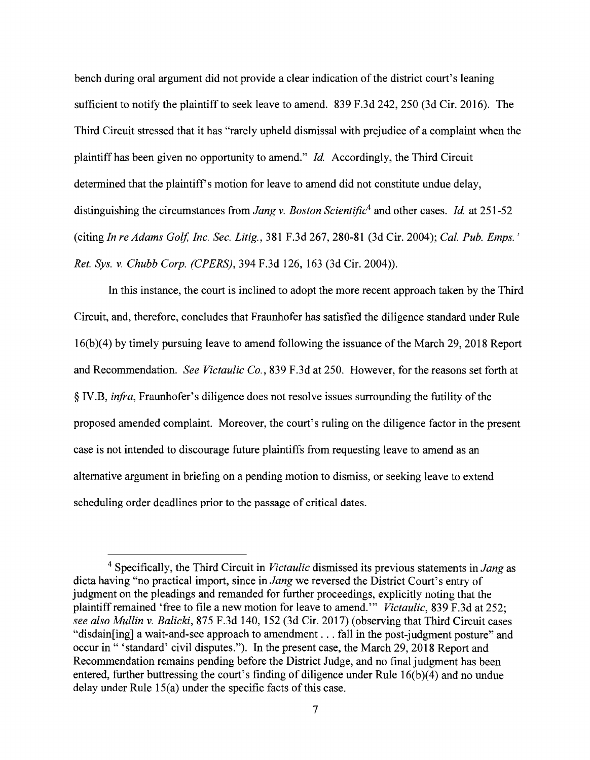bench during oral argument did not provide a clear indication of the district court's leaning sufficient to notify the plaintiff to seek leave to amend. 839 F.3d 242, 250 (3d Cir. 2016). The Third Circuit stressed that it has "rarely upheld dismissal with prejudice of a complaint when the plaintiff has been given no opportunity to amend." *Id.* Accordingly, the Third Circuit determined that the plaintiff's motion for leave to amend did not constitute undue delay, distinguishing the circumstances from *Jang v. Boston Scientific*<sup>4</sup> and other cases. *Id.* at 251-52 (citing *In re Adams Golf, Inc. Sec. Litig.,* 381 F.3d 267, 280-81 (3d Cir. 2004); *Cal. Pub. Emps.' Ret. Sys. v. Chubb Corp. (CPERS),* 394 F.3d 126, 163 (3d Cir. 2004)).

In this instance, the court is inclined to adopt the more recent approach taken by the Third Circuit, and, therefore, concludes that Fraunhofer has satisfied the diligence standard under Rule 16(b)(4) by timely pursuing leave to amend following the issuance of the March 29, 2018 Report and Recommendation. *See Victaulic Co.*, 839 F.3d at 250. However, for the reasons set forth at § IV.B, *infra,* Fraunhofer's diligence does not resolve issues surrounding the futility of the proposed amended complaint. Moreover, the court's ruling on the diligence factor in the present case is not intended to discourage future plaintiffs from requesting leave to amend as an alternative argument in briefing on a pending motion to dismiss, or seeking leave to extend scheduling order deadlines prior to the passage of critical dates.

<sup>4</sup>Specifically, the Third Circuit in *Victaulic* dismissed its previous statements in *Jang* as dicta having "no practical import, since in *Jang* we reversed the District Court's entry of judgment on the pleadings and remanded for further proceedings, explicitly noting that the plaintiff remained 'free to file a new motion for leave to amend.'" *Victaulic*, 839 F.3d at 252; *see also Mullin v. Balicki,* 875 F.3d 140, 152 (3d Cir. 2017) (observing that Third Circuit cases "disdain[ing] a wait-and-see approach to amendment . . . fall in the post-judgment posture" and occur in " 'standard' civil disputes."). In the present case, the March 29, 2018 Report and Recommendation remains pending before the District Judge, and no final judgment has been entered, further buttressing the court's finding of diligence under Rule 16(b)(4) and no undue delay under Rule 15(a) under the specific facts of this case.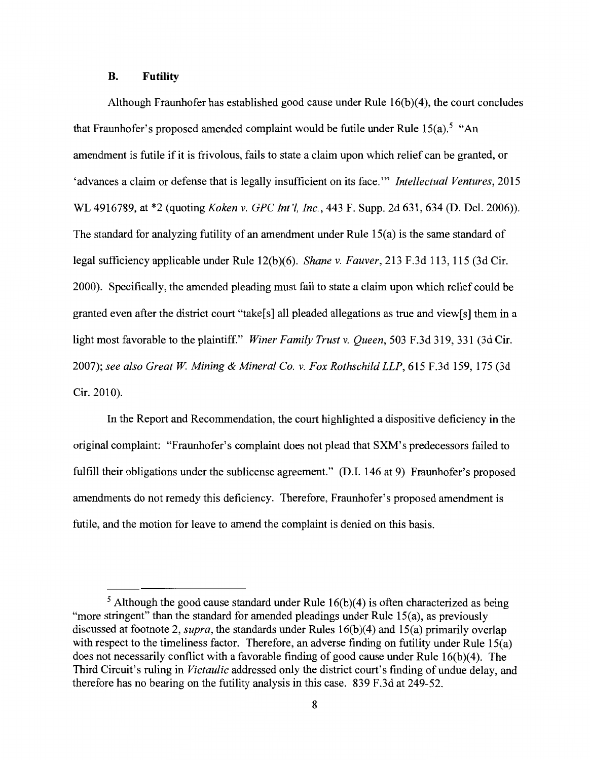## **B. Futility**

Although Fraunhofer has established good cause under Rule 16(b)(4), the court concludes that Fraunhofer's proposed amended complaint would be futile under Rule  $15(a)$ .<sup>5</sup> "An amendment is futile if it is frivolous, fails to state a claim upon which relief can be granted, or 'advances a claim or defense that is legally insufficient on its face."' *Intellectual Ventures,* 2015 WL 4916789, at \*2 (quoting *Koken v. GPC Int'l, Inc.,* 443 F. Supp. 2d 631,634 (D. Del. 2006)). The standard for analyzing futility of an amendment under Rule 15(a) is the same standard of legal sufficiency applicable under Rule 12(b)(6). *Shane v. Fauver,* 213 F.3d 113, 115 (3d Cir. 2000). Specifically, the amended pleading must fail to state a claim upon which relief could be granted even after the district court "take[s] all pleaded allegations as true and view[s] them in a light most favorable to the plaintiff." *Winer Family Trust v. Queen,* 503 F.3d 319, 331 (3d Cir. 2007); *see also Great W Mining & Mineral Co. v. Fox Rothschild LLP,* 615 F.3d 159, 175 (3d Cir. 2010).

In the Report and Recommendation, the court highlighted a dispositive deficiency in the original complaint: "Fraunhofer' s complaint does not plead that **SXM'** s predecessors failed to fulfill their obligations under the sublicense agreement." (D.I. 146 at 9) Fraunhofer's proposed amendments do not remedy this deficiency. Therefore, Fraunhofer's proposed amendment is futile, and the motion for leave to amend the complaint is denied on this basis.

 $5$  Although the good cause standard under Rule 16(b)(4) is often characterized as being "more stringent" than the standard for amended pleadings under Rule 15(a), as previously discussed at footnote 2, *supra,* the standards under Rules 16(b)(4) and 15(a) primarily overlap with respect to the timeliness factor. Therefore, an adverse finding on futility under Rule 15(a) does not necessarily conflict with a favorable finding of good cause under Rule 16(b)(4). The Third Circuit's ruling in *Victaulic* addressed only the district court's finding of undue delay, and therefore has no bearing on the futility analysis in this case. 839 F.3d at 249-52.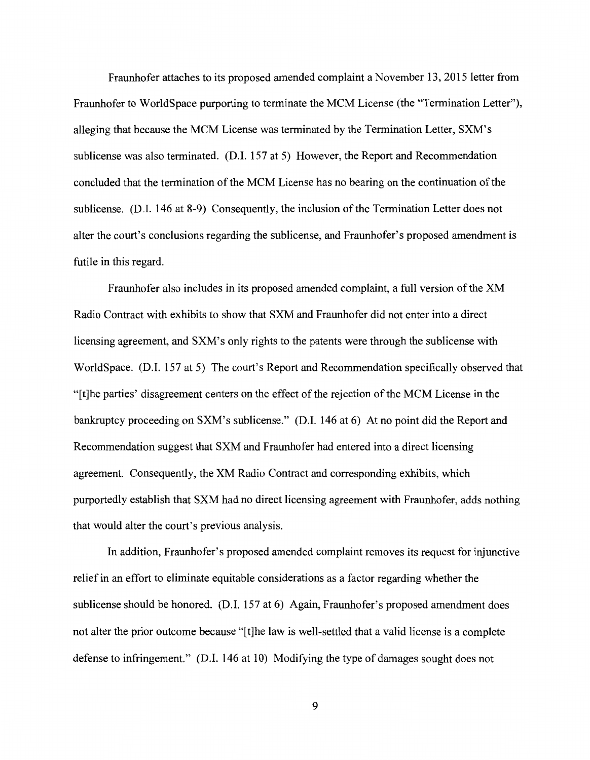Fraunhofer attaches to its proposed amended complaint a November 13, 2015 letter from Fraunhofer to WorldSpace purporting to terminate the MCM License (the "Termination Letter"), alleging that because the MCM License was terminated by the Termination Letter, SXM's sublicense was also terminated. (D.I. 157 at 5) However, the Report and Recommendation concluded that the termination of the MCM License has no bearing on the continuation of the sublicense. (D.I. 146 at 8-9) Consequently, the inclusion of the Termination Letter does not alter the court's conclusions regarding the sublicense, and Fraunhofer's proposed amendment is futile in this regard.

Fraunhofer also includes in its proposed amended complaint, a full version of the XM Radio Contract with exhibits to show that SXM and Fraunhofer did not enter into a direct licensing agreement, and SXM's only rights to the patents were through the sublicense with WorldSpace. (D.I. 157 at 5) The court's Report and Recommendation specifically observed that "[t]he parties' disagreement centers on the effect of the rejection of the MCM License in the bankruptcy proceeding on SXM's sublicense." (D.I. 146 at 6) At no point did the Report and Recommendation suggest that SXM and Fraunhofer had entered into a direct licensing agreement. Consequently, the XM Radio Contract and corresponding exhibits, which purportedly establish that SXM had no direct licensing agreement with Fraunhofer, adds nothing that would alter the court's previous analysis.

In addition, Fraunhofer's proposed amended complaint removes its request for injunctive relief in an effort to eliminate equitable considerations as a factor regarding whether the sublicense should be honored. (D.I. 157 at 6) Again, Fraunhofer's proposed amendment does not alter the prior outcome because "[t]he law is well-settled that a valid license is a complete defense to infringement." (D.I. 146 at 10) Modifying the type of damages sought does not

9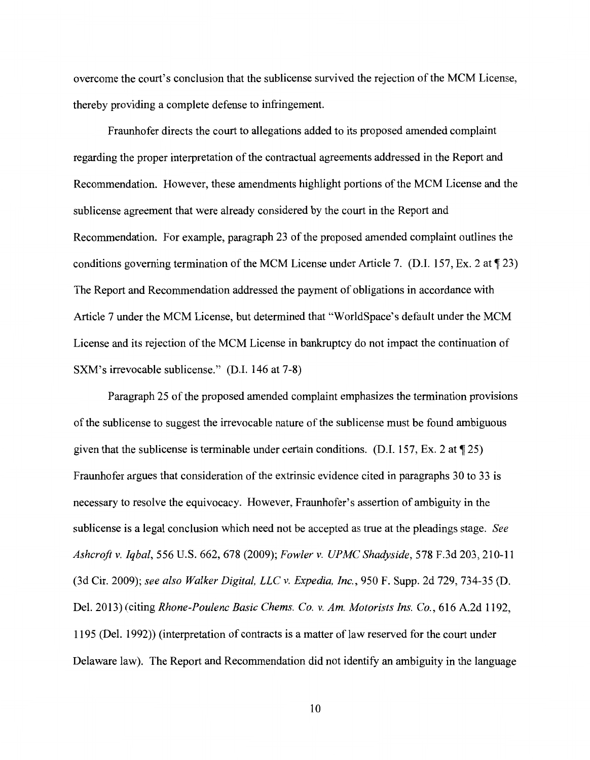overcome the court's conclusion that the sublicense survived the rejection of the MCM License, thereby providing a complete defense to infringement.

Fraunhofer directs the court to allegations added to its proposed amended complaint regarding the proper interpretation of the contractual agreements addressed in the Report and Recommendation. However, these amendments highlight portions of the MCM License and the sublicense agreement that were already considered by the court in the Report and Recommendation. For example, paragraph 23 of the proposed amended complaint outlines the conditions governing termination of the MCM License under Article 7. (D.I. 157, Ex. 2 at  $\P$  23) The Report and Recommendation addressed the payment of obligations in accordance with Article 7 under the MCM License, but determined that "WorldSpace's default under the MCM License and its rejection of the MCM License in bankruptcy do not impact the continuation of SXM's irrevocable sublicense." (D.I. 146 at 7-8)

Paragraph 25 of the proposed amended complaint emphasizes the termination provisions of the sublicense to suggest the irrevocable nature of the sub license must be found ambiguous given that the sublicense is terminable under certain conditions. (D.I. 157, Ex. 2 at  $\P$  25) Fraunhofer argues that consideration of the extrinsic evidence cited in paragraphs 30 to 33 is necessary to resolve the equivocacy. However, Fraunhofer's assertion of ambiguity in the sublicense is a legal conclusion which need not be accepted as true at the pleadings stage. *See Ashcroft v. Iqbal,* 556 U.S. 662, 678 (2009); *Fowler v. UPMC Shadyside,* 578 F.3d 203, 210-11 (3d Cir. 2009); *see also Walker Digital, LLC v. Expedia, Inc.,* 950 F. Supp. 2d 729, 734-35 (D. Del. 2013) (citing *Rhone-Poulenc Basic Chems. Co. v. Am. Motorists Ins. Co.,* 616 A.2d 1192, 1195 (Del. 1992)) (interpretation of contracts is a matter of law reserved for the court under Delaware law). The Report and Recommendation did not identify an ambiguity in the language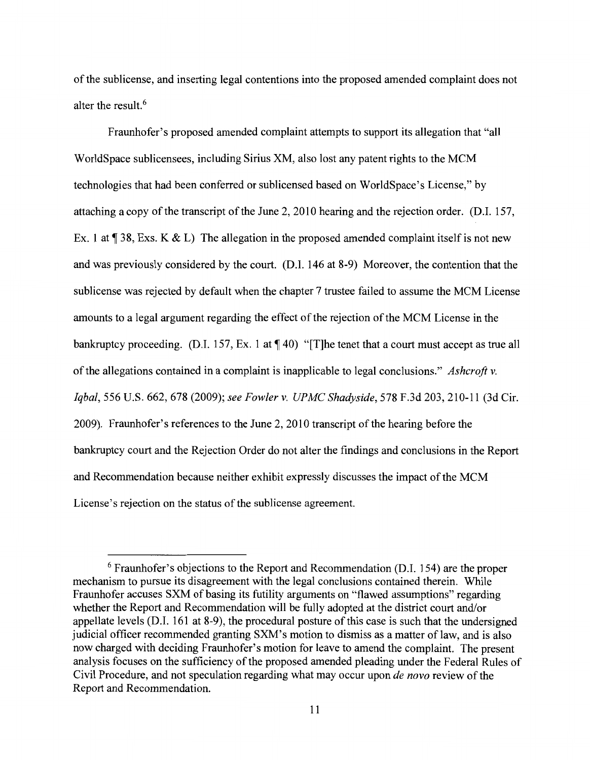of the sublicense, and inserting legal contentions into the proposed amended complaint does not alter the result.<sup>6</sup>

Fraunhofer's proposed amended complaint attempts to support its allegation that "all WorldSpace sublicensees, including Sirius XM, also lost any patent rights to the MCM technologies that had been conferred or sublicensed based on WorldSpace's License," by attaching a copy of the transcript of the June 2, 2010 hearing and the rejection order. (D.I. 157, Ex. 1 at  $\P$  38, Exs. K & L) The allegation in the proposed amended complaint itself is not new and was previously considered by the court. (D.I. 146 at 8-9) Moreover, the contention that the sublicense was rejected by default when the chapter 7 trustee failed to assume the MCM License amounts to a legal argument regarding the effect of the rejection of the MCM License in the bankruptcy proceeding. (D.I. 157, Ex. 1 at  $\P$  40) "[T]he tenet that a court must accept as true all of the allegations contained in a complaint is inapplicable to legal conclusions." *Ashcroft v. Iqbal,* 556 U.S. 662, 678 (2009); *see Fowler v. UPMC Shadyside,* 578 F.3d 203, 210-11 (3d Cir. 2009). Fraunhofer's references to the June 2, 2010 transcript of the hearing before the bankruptcy court and the Rejection Order do not alter the findings and conclusions in the Report and Recommendation because neither exhibit expressly discusses the impact of the MCM License's rejection on the status of the sublicense agreement.

<sup>6</sup> Fraunhofer's objections to the Report and Recommendation (D.I. 154) are the proper mechanism to pursue its disagreement with the legal conclusions contained therein. While Fraunhofer accuses SXM of basing its futility arguments on "flawed assumptions" regarding whether the Report and Recommendation will be fully adopted at the district court and/or appellate levels (D.I. 161 at 8-9), the procedural posture of this case is such that the undersigned judicial officer recommended granting SXM's motion to dismiss as a matter of law, and is also now charged with deciding Fraunhofer's motion for leave to amend the complaint. The present analysis focuses on the sufficiency of the proposed amended pleading under the Federal Rules of Civil Procedure, and not speculation regarding what may occur upon *de nova* review of the Report and Recommendation.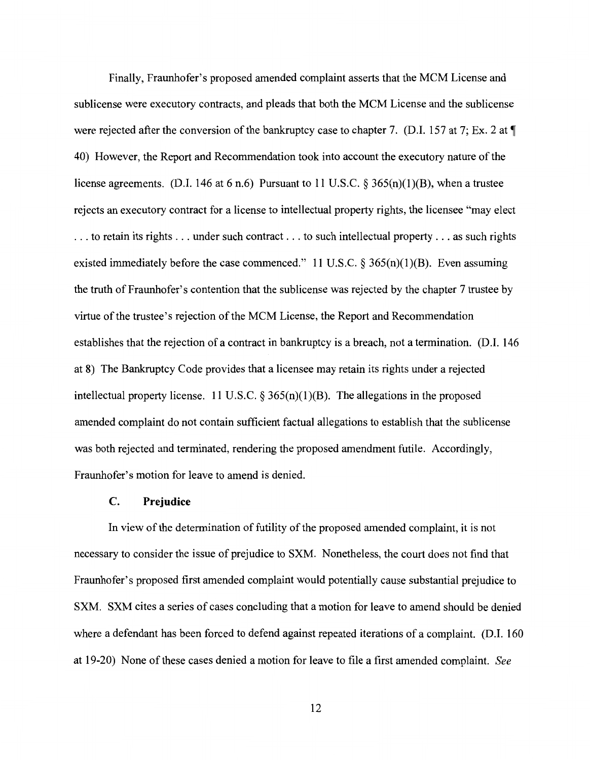Finally, Fraunhofer's proposed amended complaint asserts that the MCM License and sublicense were executory contracts, and pleads that both the MCM License and the sublicense were rejected after the conversion of the bankruptcy case to chapter 7. (D.I. 157 at 7; Ex. 2 at  $\P$ 40) However, the Report and Recommendation took into account the executory nature of the license agreements. (D.I. 146 at 6 n.6) Pursuant to 11 U.S.C.  $\S$  365(n)(1)(B), when a trustee rejects an executory contract for a license to intellectual property rights, the licensee "may elect ... to retain its rights ... under such contract ... to such intellectual property ... as such rights existed immediately before the case commenced." 11 U.S.C.  $\S$  365(n)(1)(B). Even assuming the truth of Fraunhofer's contention that the sublicense was rejected by the chapter 7 trustee by virtue of the trustee's rejection of the MCM License, the Report and Recommendation establishes that the rejection of a contract in bankruptcy is a breach, not a termination. (D.I. 146 at 8) The Bankruptcy Code provides that a licensee may retain its rights under a rejected intellectual property license. 11 U.S.C.  $\S 365(n)(1)(B)$ . The allegations in the proposed amended complaint do not contain sufficient factual allegations to establish that the sublicense was both rejected and terminated, rendering the proposed amendment futile. Accordingly, Fraunhofer's motion for leave to amend is denied.

## **C. Prejudice**

In view of the determination of futility of the proposed amended complaint, it is not necessary to consider the issue of prejudice to SXM. Nonetheless, the court does not find that Fraunhofer's proposed first amended complaint would potentially cause substantial prejudice to SXM. SXM cites a series of cases concluding that a motion for leave to amend should be denied where a defendant has been forced to defend against repeated iterations of a complaint. (D.I. 160 at 19-20) None of these cases denied a motion for leave to file a first amended complaint. *See* 

12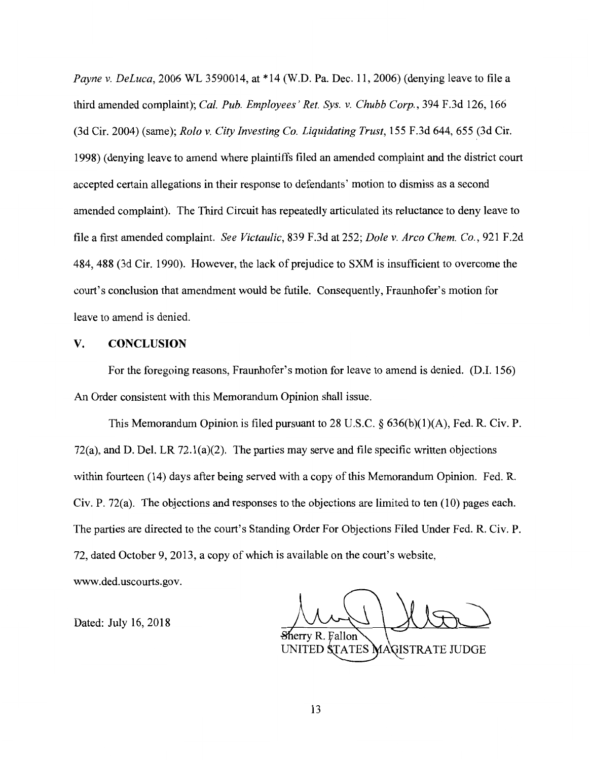*Payne v. Deluca,* 2006 WL 3590014, at \*14 (W.D. Pa. Dec. 11, 2006) (denying leave to file a third amended complaint); *Cal. Pub. Employees' Ret. Sys. v. Chubb Corp.,* 394 F.3d 126, 166 (3d Cir. 2004) (same); *Rola v. City Investing Co. Liquidating Trust,* 155 F.3d 644, 655 (3d Cir. 1998) ( denying leave to amend where plaintiffs filed an amended complaint and the district court accepted certain allegations in their response to defendants' motion to dismiss as a second amended complaint). The Third Circuit has repeatedly articulated its reluctance to deny leave to file a first amended complaint. *See Victaulic,* 839 F.3d at 252; *Dole v. Arco Chem. Co.,* 921 F.2d 484, 488 (3d Cir. 1990). However, the lack of prejudice to SXM is insufficient to overcome the court's conclusion that amendment would be futile. Consequently, Fraunhofer's motion for leave to amend is denied.

# **V. CONCLUSION**

For the foregoing reasons, Fraunhofer's motion for leave to amend is denied. (D.I. 156) An Order consistent with this Memorandum Opinion shall issue.

This Memorandum Opinion is filed pursuant to 28 U.S.C.  $\S$  636(b)(1)(A), Fed. R. Civ. P. 72(a), and D. Del. LR 72.l(a)(2). The parties may serve and file specific written objections within fourteen (14) days after being served with a copy of this Memorandum Opinion. Fed. R. Civ. **P.** 72(a). The objections and responses to the objections are limited to ten (10) pages each. The parties are directed to the court's Standing Order For Objections Filed Under Fed. R. Civ. P. 72, dated October 9, 2013, a copy of which is available on the court's website,

www.ded.uscourts.gov.

Fallon UNITED STATES MAGISTRATE JUDGE

Dated: July 16, 2018